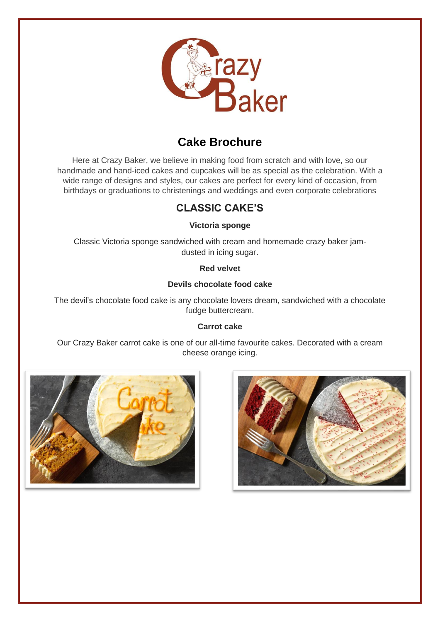

# **Cake Brochure**

Here at Crazy Baker, we believe in making food from scratch and with love, so our handmade and hand-iced cakes and cupcakes will be as special as the celebration. With a wide range of designs and styles, our cakes are perfect for every kind of occasion, from birthdays or graduations to christenings and weddings and even corporate celebrations

## **CLASSIC CAKE'S**

**Victoria sponge**

Classic Victoria sponge sandwiched with cream and homemade crazy baker jamdusted in icing sugar.

**Red velvet**

### **Devils chocolate food cake**

The devil's chocolate food cake is any chocolate lovers dream, sandwiched with a chocolate fudge buttercream.

#### **Carrot cake**

Our Crazy Baker carrot cake is one of our all-time favourite cakes. Decorated with a cream cheese orange icing.



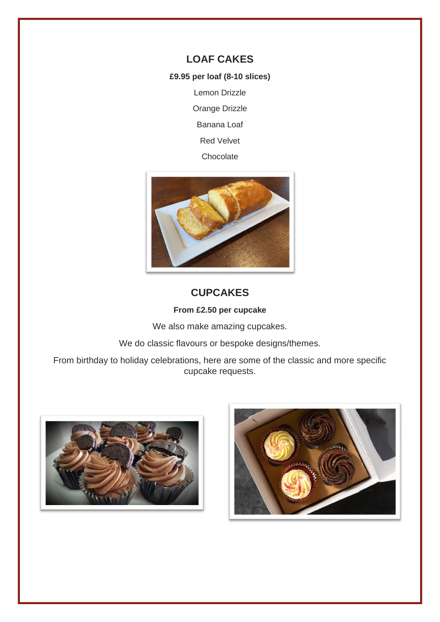### **LOAF CAKES**

**£9.95 per loaf (8-10 slices)**

Lemon Drizzle

Orange Drizzle

Banana Loaf

Red Velvet

Chocolate



## **CUPCAKES**

#### **From £2.50 per cupcake**

We also make amazing cupcakes.

We do classic flavours or bespoke designs/themes.

From birthday to holiday celebrations, here are some of the classic and more specific cupcake requests.



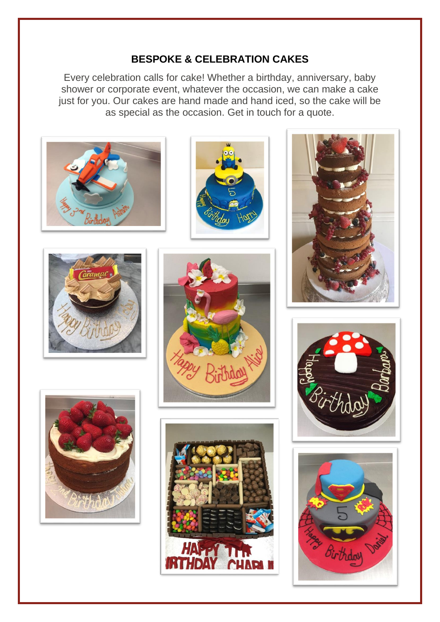## **BESPOKE & CELEBRATION CAKES**

Every celebration calls for cake! Whether a birthday, anniversary, baby shower or corporate event, whatever the occasion, we can make a cake just for you. Our cakes are hand made and hand iced, so the cake will be as special as the occasion. Get in touch for a quote.